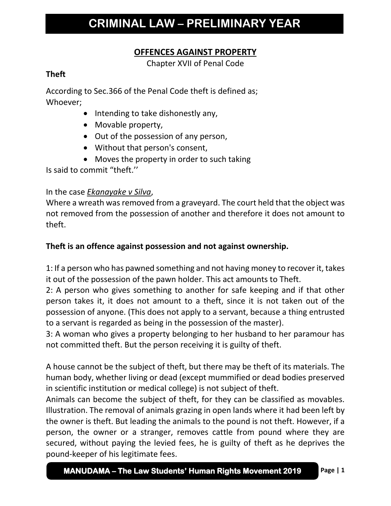# **OFFENCES AGAINST PROPERTY**

Chapter XVII of Penal Code

### **Theft**

According to Sec.366 of the Penal Code theft is defined as; Whoever;

- Intending to take dishonestly any,
- Movable property,
- Out of the possession of any person,
- Without that person's consent,
- Moves the property in order to such taking

Is said to commit "theft.''

## In the case *Ekanayake v Silva*,

Where a wreath was removed from a graveyard. The court held that the object was not removed from the possession of another and therefore it does not amount to theft.

## **Theft is an offence against possession and not against ownership.**

1: If a person who has pawned something and not having money to recover it, takes it out of the possession of the pawn holder. This act amounts to Theft.

2: A person who gives something to another for safe keeping and if that other person takes it, it does not amount to a theft, since it is not taken out of the possession of anyone. (This does not apply to a servant, because a thing entrusted to a servant is regarded as being in the possession of the master).

3: A woman who gives a property belonging to her husband to her paramour has not committed theft. But the person receiving it is guilty of theft.

A house cannot be the subject of theft, but there may be theft of its materials. The human body, whether living or dead (except mummified or dead bodies preserved in scientific institution or medical college) is not subject of theft.

Animals can become the subject of theft, for they can be classified as movables. Illustration. The removal of animals grazing in open lands where it had been left by the owner is theft. But leading the animals to the pound is not theft. However, if a person, the owner or a stranger, removes cattle from pound where they are secured, without paying the levied fees, he is guilty of theft as he deprives the pound-keeper of his legitimate fees.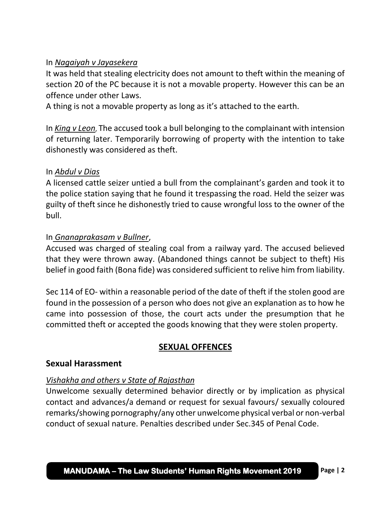### In *Nagaiyah v Jayasekera*

It was held that stealing electricity does not amount to theft within the meaning of section 20 of the PC because it is not a movable property. However this can be an offence under other Laws.

A thing is not a movable property as long as it's attached to the earth.

In *King v Leon*, The accused took a bull belonging to the complainant with intension of returning later. Temporarily borrowing of property with the intention to take dishonestly was considered as theft.

#### In *Abdul v Dias*

A licensed cattle seizer untied a bull from the complainant's garden and took it to the police station saying that he found it trespassing the road. Held the seizer was guilty of theft since he dishonestly tried to cause wrongful loss to the owner of the bull.

### In *Gnanaprakasam v Bullner*,

Accused was charged of stealing coal from a railway yard. The accused believed that they were thrown away. (Abandoned things cannot be subject to theft) His belief in good faith (Bona fide) was considered sufficient to relive him from liability.

Sec 114 of EO- within a reasonable period of the date of theft if the stolen good are found in the possession of a person who does not give an explanation as to how he came into possession of those, the court acts under the presumption that he committed theft or accepted the goods knowing that they were stolen property.

# **SEXUAL OFFENCES**

### **Sexual Harassment**

### *Vishakha and others v State of Rajasthan*

Unwelcome sexually determined behavior directly or by implication as physical contact and advances/a demand or request for sexual favours/ sexually coloured remarks/showing pornography/any other unwelcome physical verbal or non-verbal conduct of sexual nature. Penalties described under Sec.345 of Penal Code.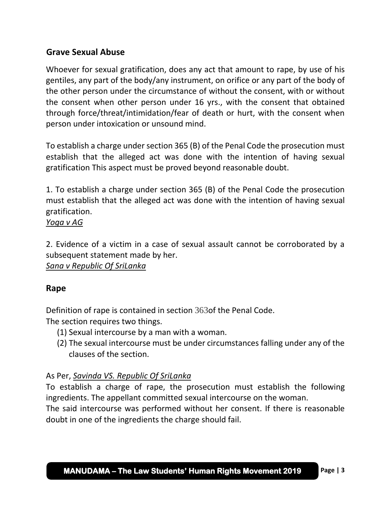## **Grave Sexual Abuse**

Whoever for sexual gratification, does any act that amount to rape, by use of his gentiles, any part of the body/any instrument, on orifice or any part of the body of the other person under the circumstance of without the consent, with or without the consent when other person under 16 yrs., with the consent that obtained through force/threat/intimidation/fear of death or hurt, with the consent when person under intoxication or unsound mind.

To establish a charge under section 365 (B) of the Penal Code the prosecution must establish that the alleged act was done with the intention of having sexual gratification This aspect must be proved beyond reasonable doubt.

1. To establish a charge under section 365 (B) of the Penal Code the prosecution must establish that the alleged act was done with the intention of having sexual gratification.

#### *Yoga v AG*

2. Evidence of a victim in a case of sexual assault cannot be corroborated by a subsequent statement made by her.

*Sana v Republic Of SriLanka*

#### **Rape**

Definition of rape is contained in section 363of the Penal Code.

The section requires two things.

- (1) Sexual intercourse by a man with a woman.
- (2) The sexual intercourse must be under circumstances falling under any of the clauses of the section.

### As Per, *Savinda VS. Republic Of SriLanka*

To establish a charge of rape, the prosecution must establish the following ingredients. The appellant committed sexual intercourse on the woman.

The said intercourse was performed without her consent. If there is reasonable doubt in one of the ingredients the charge should fail.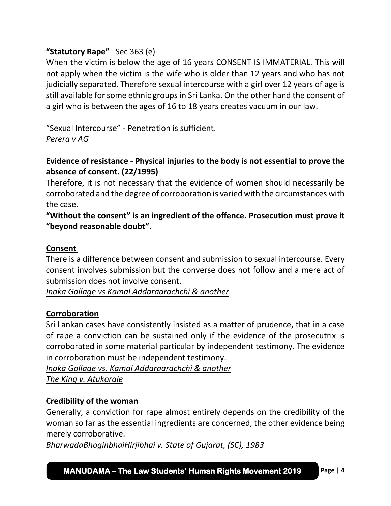## **"Statutory Rape"** Sec 363 (e)

When the victim is below the age of 16 years CONSENT IS IMMATERIAL. This will not apply when the victim is the wife who is older than 12 years and who has not judicially separated. Therefore sexual intercourse with a girl over 12 years of age is still available for some ethnic groups in Sri Lanka. On the other hand the consent of a girl who is between the ages of 16 to 18 years creates vacuum in our law.

"Sexual Intercourse" - Penetration is sufficient. *Perera v AG*

## **Evidence of resistance - Physical injuries to the body is not essential to prove the absence of consent. (22/1995)**

Therefore, it is not necessary that the evidence of women should necessarily be corroborated and the degree of corroboration is varied with the circumstances with the case.

## **"Without the consent" is an ingredient of the offence. Prosecution must prove it "beyond reasonable doubt".**

### **Consent**

There is a difference between consent and submission to sexual intercourse. Every consent involves submission but the converse does not follow and a mere act of submission does not involve consent.

*Inoka Gallage vs Kamal Addaraarachchi & another*

### **Corroboration**

Sri Lankan cases have consistently insisted as a matter of prudence, that in a case of rape a conviction can be sustained only if the evidence of the prosecutrix is corroborated in some material particular by independent testimony. The evidence in corroboration must be independent testimony.

*Inoka Gallage vs. Kamal Addaraarachchi & another The King v. Atukorale*

#### **Credibility of the woman**

Generally, a conviction for rape almost entirely depends on the credibility of the woman so far as the essential ingredients are concerned, the other evidence being merely corroborative.

*BharwadaBhoginbhaiHirjibhai v. State of Gujarat, (SC), 1983*